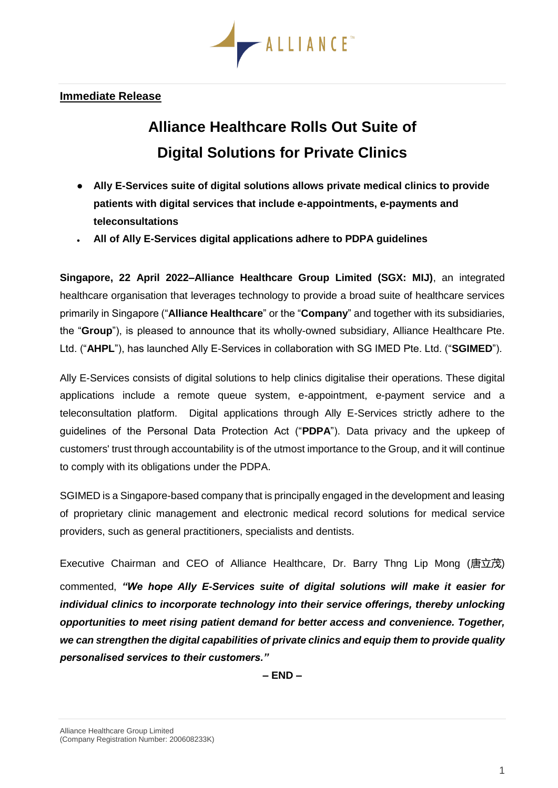

## **Immediate Release**

## **Alliance Healthcare Rolls Out Suite of Digital Solutions for Private Clinics**

- **Ally E-Services suite of digital solutions allows private medical clinics to provide patients with digital services that include e-appointments, e-payments and teleconsultations**
- **All of Ally E-Services digital applications adhere to PDPA guidelines**

**Singapore, 22 April 2022–Alliance Healthcare Group Limited (SGX: MIJ)**, an integrated healthcare organisation that leverages technology to provide a broad suite of healthcare services primarily in Singapore ("**Alliance Healthcare**" or the "**Company**" and together with its subsidiaries, the "**Group**"), is pleased to announce that its wholly-owned subsidiary, Alliance Healthcare Pte. Ltd. ("**AHPL**"), has launched Ally E-Services in collaboration with SG IMED Pte. Ltd. ("**SGIMED**").

Ally E-Services consists of digital solutions to help clinics digitalise their operations. These digital applications include a remote queue system, e-appointment, e-payment service and a teleconsultation platform. Digital applications through Ally E-Services strictly adhere to the guidelines of the Personal Data Protection Act ("**PDPA**"). Data privacy and the upkeep of customers' trust through accountability is of the utmost importance to the Group, and it will continue to comply with its obligations under the PDPA.

SGIMED is a Singapore-based company that is principally engaged in the development and leasing of proprietary clinic management and electronic medical record solutions for medical service providers, such as general practitioners, specialists and dentists.

Executive Chairman and CEO of Alliance Healthcare, Dr. Barry Thng Lip Mong (唐立茂) commented, *"We hope Ally E-Services suite of digital solutions will make it easier for individual clinics to incorporate technology into their service offerings, thereby unlocking opportunities to meet rising patient demand for better access and convenience. Together, we can strengthen the digital capabilities of private clinics and equip them to provide quality personalised services to their customers."*

**– END –**